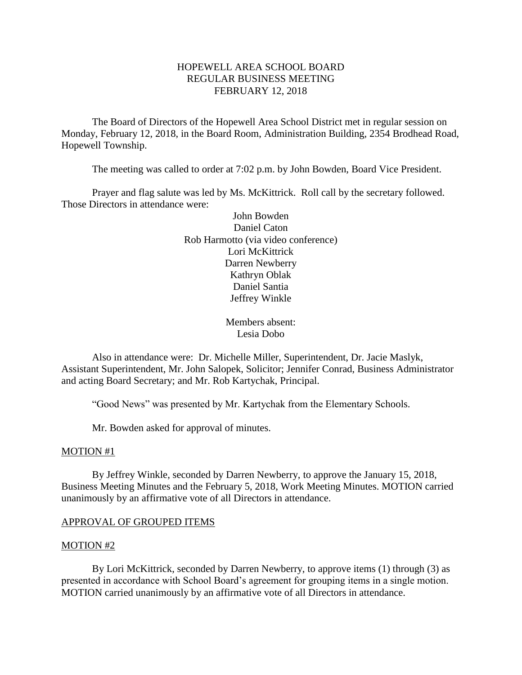# HOPEWELL AREA SCHOOL BOARD REGULAR BUSINESS MEETING FEBRUARY 12, 2018

The Board of Directors of the Hopewell Area School District met in regular session on Monday, February 12, 2018, in the Board Room, Administration Building, 2354 Brodhead Road, Hopewell Township.

The meeting was called to order at 7:02 p.m. by John Bowden, Board Vice President.

Prayer and flag salute was led by Ms. McKittrick. Roll call by the secretary followed. Those Directors in attendance were:

> John Bowden Daniel Caton Rob Harmotto (via video conference) Lori McKittrick Darren Newberry Kathryn Oblak Daniel Santia Jeffrey Winkle

> > Members absent: Lesia Dobo

Also in attendance were: Dr. Michelle Miller, Superintendent, Dr. Jacie Maslyk, Assistant Superintendent, Mr. John Salopek, Solicitor; Jennifer Conrad, Business Administrator and acting Board Secretary; and Mr. Rob Kartychak, Principal.

"Good News" was presented by Mr. Kartychak from the Elementary Schools.

Mr. Bowden asked for approval of minutes.

#### MOTION #1

By Jeffrey Winkle, seconded by Darren Newberry, to approve the January 15, 2018, Business Meeting Minutes and the February 5, 2018, Work Meeting Minutes. MOTION carried unanimously by an affirmative vote of all Directors in attendance.

### APPROVAL OF GROUPED ITEMS

#### MOTION #2

By Lori McKittrick, seconded by Darren Newberry, to approve items (1) through (3) as presented in accordance with School Board's agreement for grouping items in a single motion. MOTION carried unanimously by an affirmative vote of all Directors in attendance.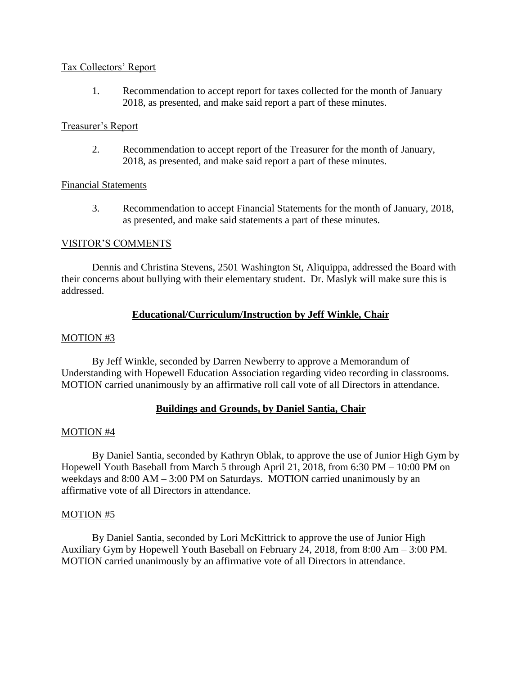### Tax Collectors' Report

1. Recommendation to accept report for taxes collected for the month of January 2018, as presented, and make said report a part of these minutes.

## Treasurer's Report

2. Recommendation to accept report of the Treasurer for the month of January, 2018, as presented, and make said report a part of these minutes.

### Financial Statements

3. Recommendation to accept Financial Statements for the month of January, 2018, as presented, and make said statements a part of these minutes.

## VISITOR'S COMMENTS

Dennis and Christina Stevens, 2501 Washington St, Aliquippa, addressed the Board with their concerns about bullying with their elementary student. Dr. Maslyk will make sure this is addressed.

## **Educational/Curriculum/Instruction by Jeff Winkle, Chair**

### MOTION #3

By Jeff Winkle, seconded by Darren Newberry to approve a Memorandum of Understanding with Hopewell Education Association regarding video recording in classrooms. MOTION carried unanimously by an affirmative roll call vote of all Directors in attendance.

## **Buildings and Grounds, by Daniel Santia, Chair**

### MOTION #4

By Daniel Santia, seconded by Kathryn Oblak, to approve the use of Junior High Gym by Hopewell Youth Baseball from March 5 through April 21, 2018, from 6:30 PM – 10:00 PM on weekdays and 8:00 AM – 3:00 PM on Saturdays. MOTION carried unanimously by an affirmative vote of all Directors in attendance.

### MOTION #5

By Daniel Santia, seconded by Lori McKittrick to approve the use of Junior High Auxiliary Gym by Hopewell Youth Baseball on February 24, 2018, from 8:00 Am – 3:00 PM. MOTION carried unanimously by an affirmative vote of all Directors in attendance.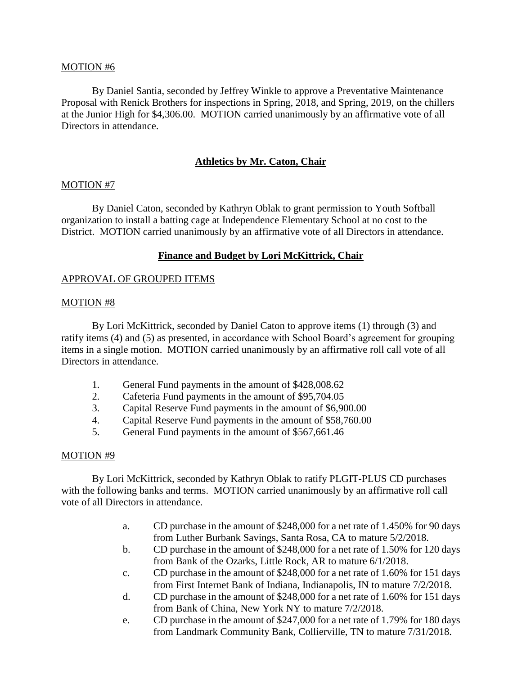### MOTION #6

By Daniel Santia, seconded by Jeffrey Winkle to approve a Preventative Maintenance Proposal with Renick Brothers for inspections in Spring, 2018, and Spring, 2019, on the chillers at the Junior High for \$4,306.00. MOTION carried unanimously by an affirmative vote of all Directors in attendance.

# **Athletics by Mr. Caton, Chair**

### MOTION #7

By Daniel Caton, seconded by Kathryn Oblak to grant permission to Youth Softball organization to install a batting cage at Independence Elementary School at no cost to the District. MOTION carried unanimously by an affirmative vote of all Directors in attendance.

## **Finance and Budget by Lori McKittrick, Chair**

### APPROVAL OF GROUPED ITEMS

### MOTION #8

By Lori McKittrick, seconded by Daniel Caton to approve items (1) through (3) and ratify items (4) and (5) as presented, in accordance with School Board's agreement for grouping items in a single motion. MOTION carried unanimously by an affirmative roll call vote of all Directors in attendance.

- 1. General Fund payments in the amount of \$428,008.62
- 2. Cafeteria Fund payments in the amount of \$95,704.05
- 3. Capital Reserve Fund payments in the amount of \$6,900.00
- 4. Capital Reserve Fund payments in the amount of \$58,760.00
- 5. General Fund payments in the amount of \$567,661.46

## MOTION #9

By Lori McKittrick, seconded by Kathryn Oblak to ratify PLGIT-PLUS CD purchases with the following banks and terms. MOTION carried unanimously by an affirmative roll call vote of all Directors in attendance.

- a. CD purchase in the amount of \$248,000 for a net rate of 1.450% for 90 days from Luther Burbank Savings, Santa Rosa, CA to mature 5/2/2018.
- b. CD purchase in the amount of \$248,000 for a net rate of 1.50% for 120 days from Bank of the Ozarks, Little Rock, AR to mature 6/1/2018.
- c. CD purchase in the amount of \$248,000 for a net rate of 1.60% for 151 days from First Internet Bank of Indiana, Indianapolis, IN to mature 7/2/2018.
- d. CD purchase in the amount of \$248,000 for a net rate of 1.60% for 151 days from Bank of China, New York NY to mature 7/2/2018.
- e. CD purchase in the amount of \$247,000 for a net rate of 1.79% for 180 days from Landmark Community Bank, Collierville, TN to mature 7/31/2018.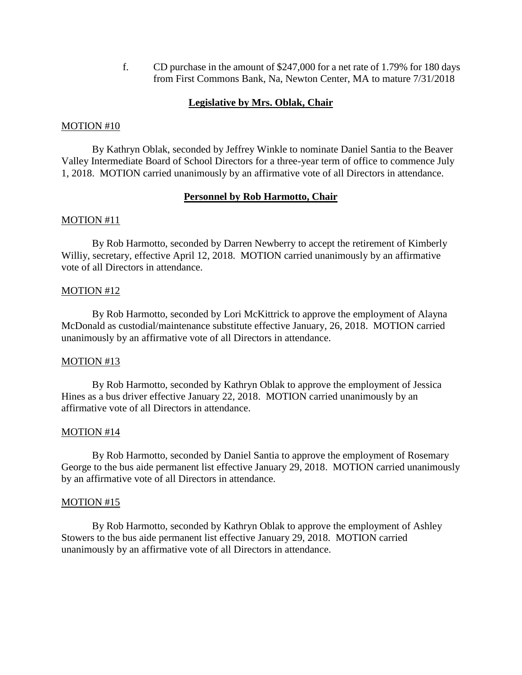f. CD purchase in the amount of \$247,000 for a net rate of 1.79% for 180 days from First Commons Bank, Na, Newton Center, MA to mature 7/31/2018

## **Legislative by Mrs. Oblak, Chair**

### MOTION #10

By Kathryn Oblak, seconded by Jeffrey Winkle to nominate Daniel Santia to the Beaver Valley Intermediate Board of School Directors for a three-year term of office to commence July 1, 2018. MOTION carried unanimously by an affirmative vote of all Directors in attendance.

## **Personnel by Rob Harmotto, Chair**

### MOTION #11

By Rob Harmotto, seconded by Darren Newberry to accept the retirement of Kimberly Williy, secretary, effective April 12, 2018. MOTION carried unanimously by an affirmative vote of all Directors in attendance.

### MOTION #12

By Rob Harmotto, seconded by Lori McKittrick to approve the employment of Alayna McDonald as custodial/maintenance substitute effective January, 26, 2018. MOTION carried unanimously by an affirmative vote of all Directors in attendance.

## MOTION #13

By Rob Harmotto, seconded by Kathryn Oblak to approve the employment of Jessica Hines as a bus driver effective January 22, 2018. MOTION carried unanimously by an affirmative vote of all Directors in attendance.

### MOTION #14

By Rob Harmotto, seconded by Daniel Santia to approve the employment of Rosemary George to the bus aide permanent list effective January 29, 2018. MOTION carried unanimously by an affirmative vote of all Directors in attendance.

### MOTION #15

By Rob Harmotto, seconded by Kathryn Oblak to approve the employment of Ashley Stowers to the bus aide permanent list effective January 29, 2018. MOTION carried unanimously by an affirmative vote of all Directors in attendance.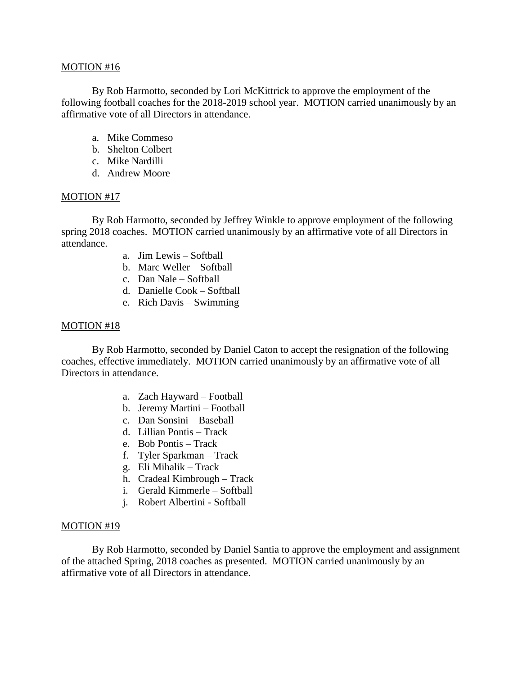#### MOTION #16

By Rob Harmotto, seconded by Lori McKittrick to approve the employment of the following football coaches for the 2018-2019 school year. MOTION carried unanimously by an affirmative vote of all Directors in attendance.

- a. Mike Commeso
- b. Shelton Colbert
- c. Mike Nardilli
- d. Andrew Moore

### MOTION #17

By Rob Harmotto, seconded by Jeffrey Winkle to approve employment of the following spring 2018 coaches. MOTION carried unanimously by an affirmative vote of all Directors in attendance.

- a. Jim Lewis Softball
- b. Marc Weller Softball
- c. Dan Nale Softball
- d. Danielle Cook Softball
- e. Rich Davis Swimming

### MOTION #18

By Rob Harmotto, seconded by Daniel Caton to accept the resignation of the following coaches, effective immediately. MOTION carried unanimously by an affirmative vote of all Directors in attendance.

- a. Zach Hayward Football
- b. Jeremy Martini Football
- c. Dan Sonsini Baseball
- d. Lillian Pontis Track
- e. Bob Pontis Track
- f. Tyler Sparkman Track
- g. Eli Mihalik Track
- h. Cradeal Kimbrough Track
- i. Gerald Kimmerle Softball
- j. Robert Albertini Softball

### MOTION #19

By Rob Harmotto, seconded by Daniel Santia to approve the employment and assignment of the attached Spring, 2018 coaches as presented. MOTION carried unanimously by an affirmative vote of all Directors in attendance.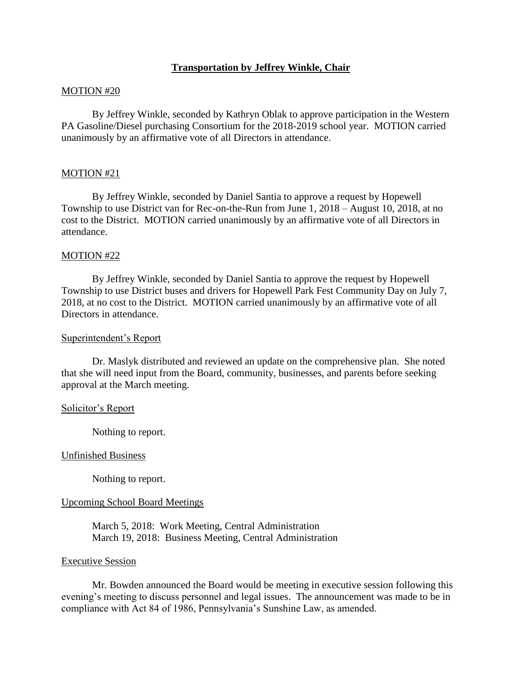## **Transportation by Jeffrey Winkle, Chair**

### MOTION #20

By Jeffrey Winkle, seconded by Kathryn Oblak to approve participation in the Western PA Gasoline/Diesel purchasing Consortium for the 2018-2019 school year. MOTION carried unanimously by an affirmative vote of all Directors in attendance.

#### MOTION #21

By Jeffrey Winkle, seconded by Daniel Santia to approve a request by Hopewell Township to use District van for Rec-on-the-Run from June 1, 2018 – August 10, 2018, at no cost to the District. MOTION carried unanimously by an affirmative vote of all Directors in attendance.

#### MOTION #22

By Jeffrey Winkle, seconded by Daniel Santia to approve the request by Hopewell Township to use District buses and drivers for Hopewell Park Fest Community Day on July 7, 2018, at no cost to the District. MOTION carried unanimously by an affirmative vote of all Directors in attendance.

#### Superintendent's Report

Dr. Maslyk distributed and reviewed an update on the comprehensive plan. She noted that she will need input from the Board, community, businesses, and parents before seeking approval at the March meeting.

#### Solicitor's Report

Nothing to report.

#### Unfinished Business

Nothing to report.

#### Upcoming School Board Meetings

March 5, 2018: Work Meeting, Central Administration March 19, 2018: Business Meeting, Central Administration

#### Executive Session

Mr. Bowden announced the Board would be meeting in executive session following this evening's meeting to discuss personnel and legal issues. The announcement was made to be in compliance with Act 84 of 1986, Pennsylvania's Sunshine Law, as amended.